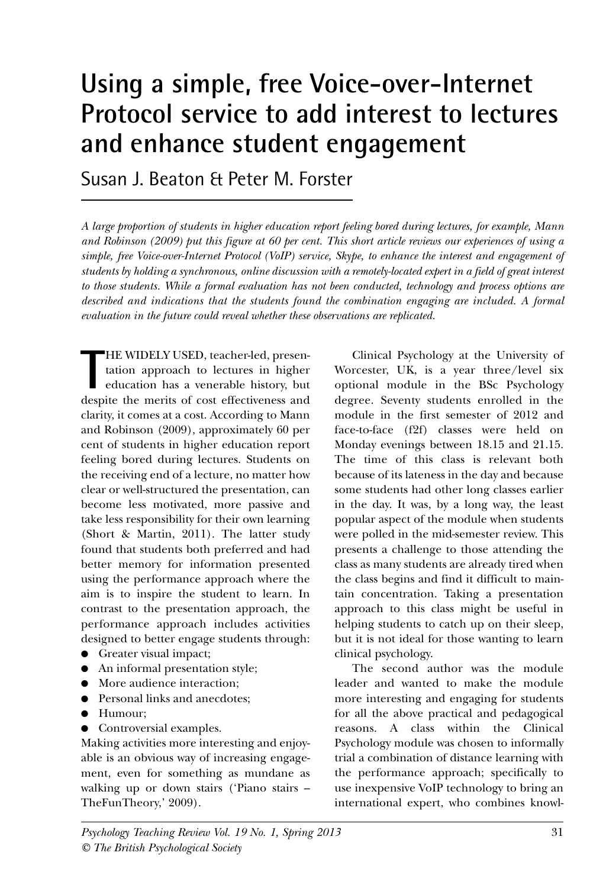# **Using a simple, free Voice-over-Internet Protocol service to add interest to lectures and enhance student engagement**

Susan J. Beaton & Peter M. Forster

*A large proportion of students in higher education report feeling bored during lectures, for example, Mann and Robinson (2009) put this figure at 60 per cent. This short article reviews our experiences of using a simple, free Voice-over-Internet Protocol (VoIP) service, Skype, to enhance the interest and engagement of students by holding a synchronous, online discussion with a remotely-located expert in a field of great interest to those students. While a formal evaluation has not been conducted, technology and process options are described and indications that the students found the combination engaging are included. A formal evaluation in the future could reveal whether these observations are replicated.*

THE WIDELY USED, teacher-led, presentation approach to lectures in higher education has a venerable history, but despite the merits of cost effectiveness and HE WIDELY USED, teacher-led, presentation approach to lectures in higher education has a venerable history, but clarity, it comes at a cost. According to Mann and Robinson (2009), approximately 60 per cent of students in higher education report feeling bored during lectures. Students on the receiving end of a lecture, no matter how clear or well-structured the presentation, can become less motivated, more passive and take less responsibility for their own learning (Short & Martin, 2011). The latter study found that students both preferred and had better memory for information presented using the performance approach where the aim is to inspire the student to learn. In contrast to the presentation approach, the performance approach includes activities designed to better engage students through:

- Greater visual impact;
- An informal presentation style;
- More audience interaction;
- Personal links and anecdotes;
- Humour;
- Controversial examples.

Making activities more interesting and enjoyable is an obvious way of increasing engagement, even for something as mundane as walking up or down stairs ('Piano stairs – TheFunTheory,' 2009).

Clinical Psychology at the University of Worcester, UK, is a year three/level six optional module in the BSc Psychology degree. Seventy students enrolled in the module in the first semester of 2012 and face-to-face (f2f) classes were held on Monday evenings between 18.15 and 21.15. The time of this class is relevant both because of its lateness in the day and because some students had other long classes earlier in the day. It was, by a long way, the least popular aspect of the module when students were polled in the mid-semester review. This presents a challenge to those attending the class as many students are already tired when the class begins and find it difficult to maintain concentration. Taking a presentation approach to this class might be useful in helping students to catch up on their sleep, but it is not ideal for those wanting to learn clinical psychology.

The second author was the module leader and wanted to make the module more interesting and engaging for students for all the above practical and pedagogical reasons. A class within the Clinical Psychology module was chosen to informally trial a combination of distance learning with the performance approach; specifically to use inexpensive VoIP technology to bring an international expert, who combines knowl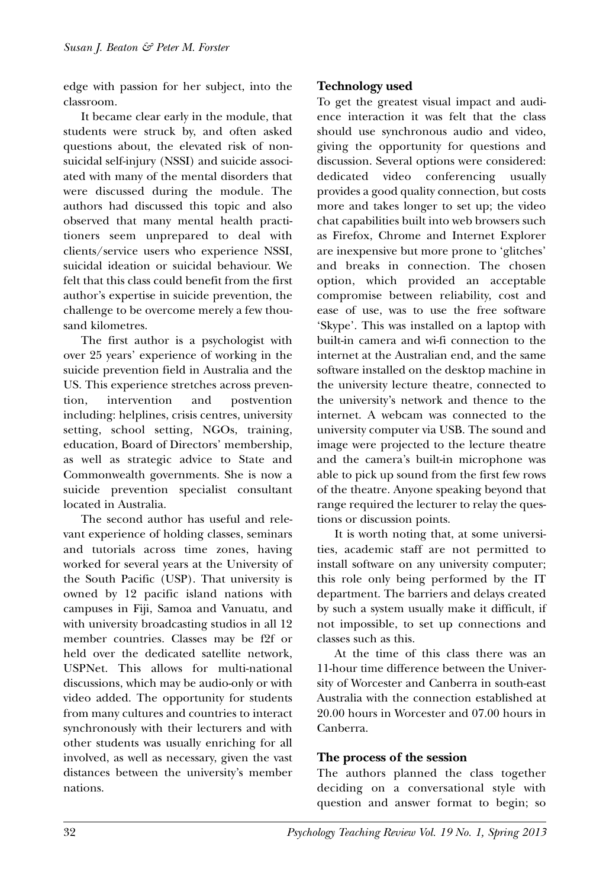edge with passion for her subject, into the classroom.

It became clear early in the module, that students were struck by, and often asked questions about, the elevated risk of nonsuicidal self-injury (NSSI) and suicide associated with many of the mental disorders that were discussed during the module. The authors had discussed this topic and also observed that many mental health practitioners seem unprepared to deal with clients/service users who experience NSSI, suicidal ideation or suicidal behaviour. We felt that this class could benefit from the first author's expertise in suicide prevention, the challenge to be overcome merely a few thousand kilometres.

The first author is a psychologist with over 25 years' experience of working in the suicide prevention field in Australia and the US. This experience stretches across prevention, intervention and postvention including: helplines, crisis centres, university setting, school setting, NGOs, training, education, Board of Directors' membership, as well as strategic advice to State and Commonwealth governments. She is now a suicide prevention specialist consultant located in Australia.

The second author has useful and relevant experience of holding classes, seminars and tutorials across time zones, having worked for several years at the University of the South Pacific (USP). That university is owned by 12 pacific island nations with campuses in Fiji, Samoa and Vanuatu, and with university broadcasting studios in all 12 member countries. Classes may be f2f or held over the dedicated satellite network, USPNet. This allows for multi-national discussions, which may be audio-only or with video added. The opportunity for students from many cultures and countries to interact synchronously with their lecturers and with other students was usually enriching for all involved, as well as necessary, given the vast distances between the university's member nations.

# **Technology used**

To get the greatest visual impact and audience interaction it was felt that the class should use synchronous audio and video, giving the opportunity for questions and discussion. Several options were considered: dedicated video conferencing usually provides a good quality connection, but costs more and takes longer to set up; the video chat capabilities built into web browsers such as Firefox, Chrome and Internet Explorer are inexpensive but more prone to 'glitches' and breaks in connection. The chosen option, which provided an acceptable compromise between reliability, cost and ease of use, was to use the free software 'Skype'. This was installed on a laptop with built-in camera and wi-fi connection to the internet at the Australian end, and the same software installed on the desktop machine in the university lecture theatre, connected to the university's network and thence to the internet. A webcam was connected to the university computer via USB. The sound and image were projected to the lecture theatre and the camera's built-in microphone was able to pick up sound from the first few rows of the theatre. Anyone speaking beyond that range required the lecturer to relay the questions or discussion points.

It is worth noting that, at some universities, academic staff are not permitted to install software on any university computer; this role only being performed by the IT department. The barriers and delays created by such a system usually make it difficult, if not impossible, to set up connections and classes such as this.

At the time of this class there was an 11-hour time difference between the University of Worcester and Canberra in south-east Australia with the connection established at 20.00 hours in Worcester and 07.00 hours in Canberra.

## **The process of the session**

The authors planned the class together deciding on a conversational style with question and answer format to begin; so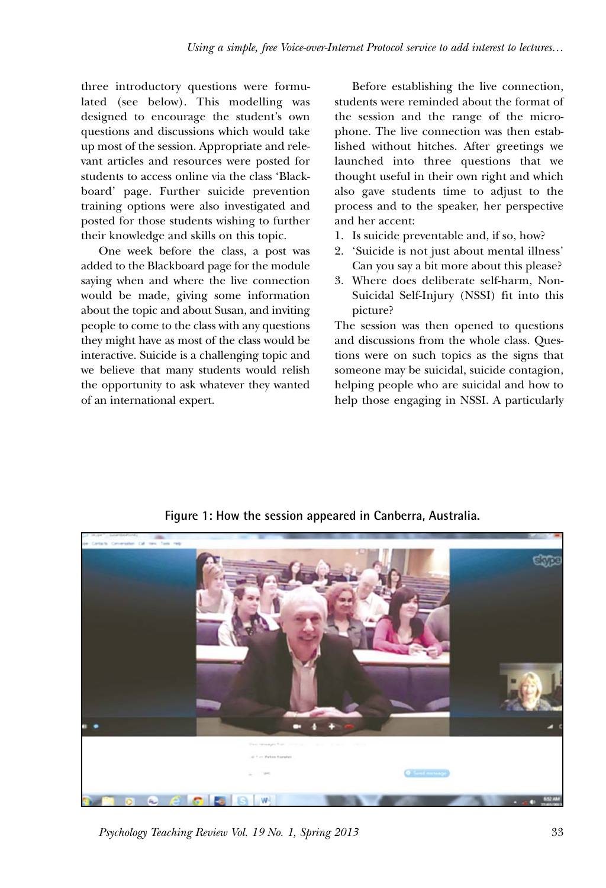three introductory questions were formulated (see below). This modelling was designed to encourage the student's own questions and discussions which would take up most of the session. Appropriate and relevant articles and resources were posted for students to access online via the class 'Blackboard' page. Further suicide prevention training options were also investigated and posted for those students wishing to further their knowledge and skills on this topic.

One week before the class, a post was added to the Blackboard page for the module saying when and where the live connection would be made, giving some information about the topic and about Susan, and inviting people to come to the class with any questions they might have as most of the class would be interactive. Suicide is a challenging topic and we believe that many students would relish the opportunity to ask whatever they wanted of an international expert.

Before establishing the live connection, students were reminded about the format of the session and the range of the microphone. The live connection was then established without hitches. After greetings we launched into three questions that we thought useful in their own right and which also gave students time to adjust to the process and to the speaker, her perspective and her accent:

- 1. Is suicide preventable and, if so, how?
- 2. 'Suicide is not just about mental illness' Can you say a bit more about this please?
- 3. Where does deliberate self-harm, Non-Suicidal Self-Injury (NSSI) fit into this picture?

The session was then opened to questions and discussions from the whole class. Questions were on such topics as the signs that someone may be suicidal, suicide contagion, helping people who are suicidal and how to help those engaging in NSSI. A particularly



**Figure 1: How the session appeared in Canberra, Australia.**

*Psychology Teaching Review Vol. 19 No. 1, Spring 2013* 33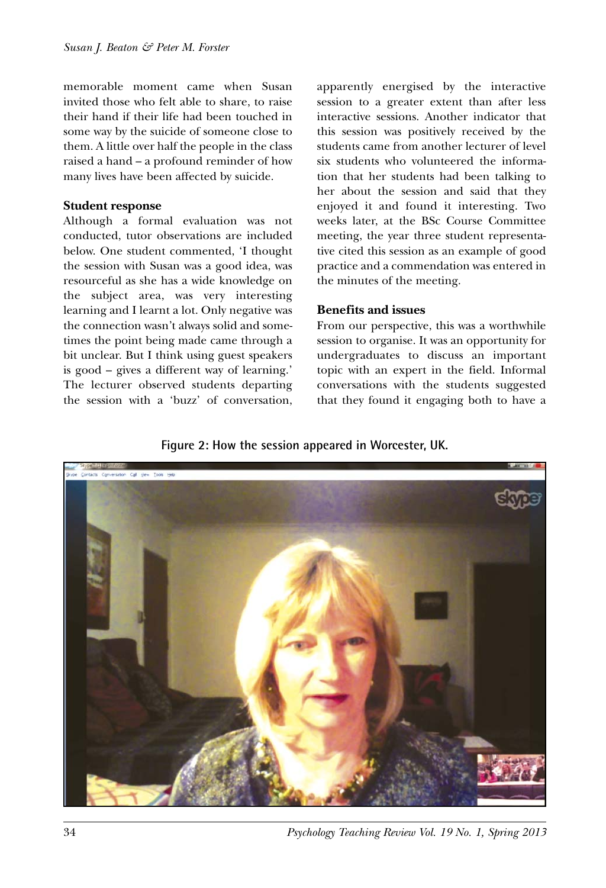memorable moment came when Susan invited those who felt able to share, to raise their hand if their life had been touched in some way by the suicide of someone close to them. A little over half the people in the class raised a hand – a profound reminder of how many lives have been affected by suicide.

#### **Student response**

Although a formal evaluation was not conducted, tutor observations are included below. One student commented, 'I thought the session with Susan was a good idea, was resourceful as she has a wide knowledge on the subject area, was very interesting learning and I learnt a lot. Only negative was the connection wasn't always solid and sometimes the point being made came through a bit unclear. But I think using guest speakers is good – gives a different way of learning.' The lecturer observed students departing the session with a 'buzz' of conversation, apparently energised by the interactive session to a greater extent than after less interactive sessions. Another indicator that this session was positively received by the students came from another lecturer of level six students who volunteered the information that her students had been talking to her about the session and said that they enjoyed it and found it interesting. Two weeks later, at the BSc Course Committee meeting, the year three student representative cited this session as an example of good practice and a commendation was entered in the minutes of the meeting.

#### **Benefits and issues**

From our perspective, this was a worthwhile session to organise. It was an opportunity for undergraduates to discuss an important topic with an expert in the field. Informal conversations with the students suggested that they found it engaging both to have a

## **Figure 2: How the session appeared in Worcester, UK.**



34 *Psychology Teaching Review Vol. 19 No. 1, Spring 2013*